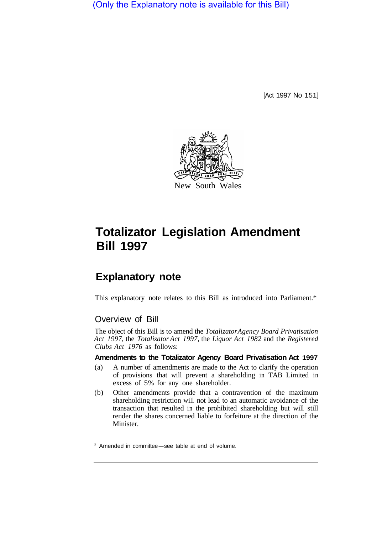(Only the Explanatory note is available for this Bill)

[Act 1997 No 151]



# **Totalizator Legislation Amendment Bill 1997**

# **Explanatory note**

This explanatory note relates to this Bill as introduced into Parliament.\*

## Overview of Bill

The object of this Bill is to amend the *Totalizator Agency Board Privatisation Act 1997,* the *Totalizator Act 1997,* the *Liquor Act 1982* and the *Registered Clubs Act 1976* as follows:

#### **Amendments to the Totalizator Agency Board Privatisation Act 1997**

- (a) A number of amendments are made to the Act to clarify the operation of provisions that will prevent a shareholding in TAB Limited in excess of 5% for any one shareholder.
- (b) Other amendments provide that a contravention of the maximum shareholding restriction will not lead to an automatic avoidance of the transaction that resulted in the prohibited shareholding but will still render the shares concerned liable to forfeiture at the direction of the Minister.

Amended in committee-see table at end of volume.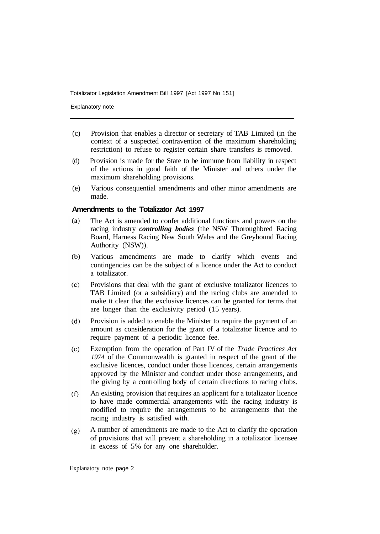Explanatory note

- (c) Provision that enables a director or secretary of TAB Limited (in the context of a suspected contravention of the maximum shareholding restriction) to refuse to register certain share transfers is removed.
- (d) Provision is made for the State to be immune from liability in respect of the actions in good faith of the Minister and others under the maximum shareholding provisions.
- (e) Various consequential amendments and other minor amendments are made.

#### **Amendments to the Totalizator Act 1997**

- $(a)$ The Act is amended to confer additional functions and powers on the racing industry *controlling bodies* (the NSW Thoroughbred Racing Board, Harness Racing New South Wales and the Greyhound Racing Authority (NSW)).
- Various amendments are made to clarify which events and  $(b)$ contingencies can be the subject of a licence under the Act to conduct a totalizator.
- $(c)$ Provisions that deal with the grant of exclusive totalizator licences to TAB Limited (or a subsidiary) and the racing clubs are amended to make it clear that the exclusive licences can be granted for terms that are longer than the exclusivity period (15 years).
- Provision is added to enable the Minister to require the payment of an  $(d)$ amount as consideration for the grant of a totalizator licence and to require payment of a periodic licence fee.
- Exemption from the operation of Part IV of the *Trade Practices Act*   $(e)$ *1974* of the Commonwealth is granted in respect of the grant of the exclusive licences, conduct under those licences, certain arrangements approved by the Minister and conduct under those arrangements, and the giving by a controlling body of certain directions to racing clubs.
- An existing provision that requires an applicant for a totalizator licence  $(f)$ to have made commercial arrangements with the racing industry is modified to require the arrangements to be arrangements that the racing industry is satisfied with.
- A number of amendments are made to the Act to clarify the operation  $(g)$ of provisions that will prevent a shareholding in a totalizator licensee in excess of 5% for any one shareholder.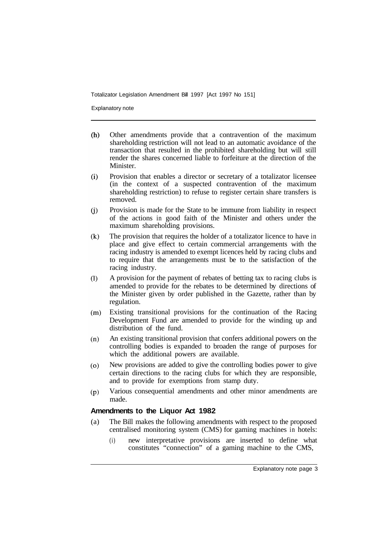Explanatory note

- $(h)$ Other amendments provide that a contravention of the maximum shareholding restriction will not lead to an automatic avoidance of the transaction that resulted in the prohibited shareholding but will still render the shares concerned liable to forfeiture at the direction of the Minister.
- $(i)$ Provision that enables a director or secretary of a totalizator licensee (in the context of a suspected contravention of the maximum shareholding restriction) to refuse to register certain share transfers is removed.
- $(i)$ Provision is made for the State to be immune from liability in respect of the actions in good faith of the Minister and others under the maximum shareholding provisions.
- $(k)$ The provision that requires the holder of a totalizator licence to have in place and give effect to certain commercial arrangements with the racing industry is amended to exempt licences held by racing clubs and to require that the arrangements must be to the satisfaction of the racing industry.
- A provision for the payment of rebates of betting tax to racing clubs is  $(1)$ amended to provide for the rebates to be determined by directions of the Minister given by order published in the Gazette, rather than by regulation.
- $(m)$ Existing transitional provisions for the continuation of the Racing Development Fund are amended to provide for the winding up and distribution of the fund.
- $(n)$ An existing transitional provision that confers additional powers on the controlling bodies is expanded to broaden the range of purposes for which the additional powers are available.
- New provisions are added to give the controlling bodies power to give  $(o)$ certain directions to the racing clubs for which they are responsible, and to provide for exemptions from stamp duty.
- Various consequential amendments and other minor amendments are  $(p)$ made.

#### **Amendments to the Liquor Act 1982**

- (a) The Bill makes the following amendments with respect to the proposed centralised monitoring system (CMS) for gaming machines in hotels:
	- (i) new interpretative provisions are inserted to define what constitutes "connection" of a gaming machine to the CMS,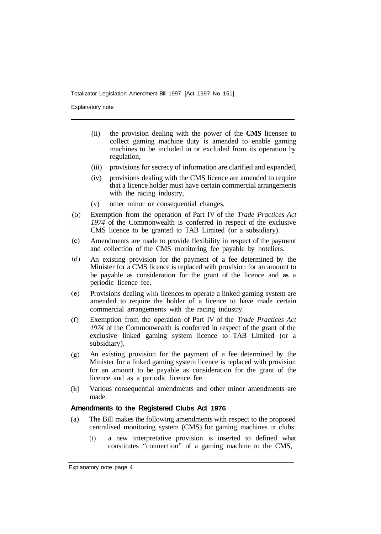Explanatory note

- (ii) the provision dealing with the power of the **CMS** licensee to collect gaming machine duty is amended to enable gaming machines to be included in or excluded from its operation by regulation,
- (iii) provisions for secrecy of information are clarified and expanded,
- (iv) provisions dealing with the CMS licence are amended to require that a licence holder must have certain commercial arrangements with the racing industry,
- (v) other minor or consequential changes.
- $(b)$ Exemption from the operation of Part IV of the *Trade Practices Act 1974* of the Commonwealth is conferred in respect of the exclusive CMS licence to be granted to TAB Limited (or a subsidiary).
- Amendments are made to provide flexibility in respect of the payment  $(c)$ and collection of the CMS monitoring fee payable by hoteliers.
- $(d)$ An existing provision for the payment of a fee determined by the Minister for a CMS licence is replaced with provision for an amount to be payable as consideration for the grant of the licence and **as** a periodic licence fee.
- $(e)$ Provisions dealing with licences to operate a linked gaming system are amended to require the holder of a licence to have made certain commercial arrangements with the racing industry.
- $(f)$ Exemption from the operation of Part IV of the *Trade Practices Act 1974* of the Commonwealth is conferred in respect of the grant of the exclusive linked gaming system licence to TAB Limited (or a subsidiary).
- An existing provision for the payment of a fee determined by the  $(g)$ Minister for a linked gaming system licence is replaced with provision for an amount to be payable as consideration for the grant of the licence and as a periodic licence fee.
- $(h)$ Various consequential amendments and other minor amendments are made.

#### **Amendments to the Registered Clubs Act 1976**

- (a) The Bill makes the following amendments with respect to the proposed centralised monitoring system (CMS) for gaming machines in clubs:
	- (i) a new interpretative provision is inserted to defined what constitutes "connection" of a gaming machine to the CMS,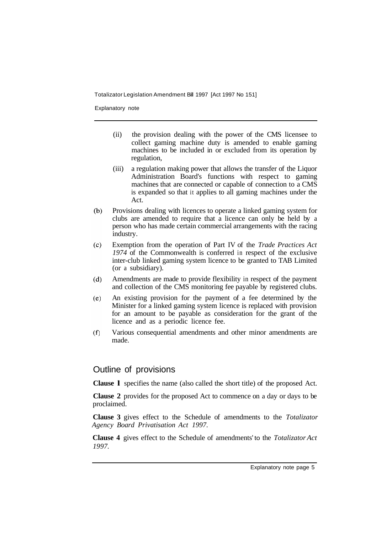Explanatory note

- (ii) the provision dealing with the power of the CMS licensee to collect gaming machine duty is amended to enable gaming machines to be included in or excluded from its operation by regulation,
- (iii) a regulation making power that allows the transfer of the Liquor Administration Board's functions with respect to gaming machines that are connected or capable of connection to a CMS is expanded so that it applies to all gaming machines under the Act.
- Provisions dealing with licences to operate a linked gaming system for  $(b)$ clubs are amended to require that a licence can only be held by a person who has made certain commercial arrangements with the racing industry.
- Exemption from the operation of Part IV of the *Trade Practices Act*   $(c)$ *1974* of the Commonwealth is conferred in respect of the exclusive inter-club linked gaming system licence to be granted to TAB Limited (or a subsidiary).
- Amendments are made to provide flexibility in respect of the payment  $(d)$ and collection of the CMS monitoring fee payable by registered clubs.
- An existing provision for the payment of a fee determined by the  $(e)$ Minister for a linked gaming system licence is replaced with provision for an amount to be payable as consideration for the grant of the licence and as a periodic licence fee.
- $(f)$ Various consequential amendments and other minor amendments are made.

### Outline of provisions

**Clause l** specifies the name (also called the short title) of the proposed Act.

**Clause 2** provides for the proposed Act to commence on a day or days to be proclaimed.

**Clause 3** gives effect to the Schedule of amendments to the *Totalizator Agency Board Privatisation Act 1997.* 

**Clause 4** gives effect to the Schedule of amendments' to the *Totalizator Act 1997.*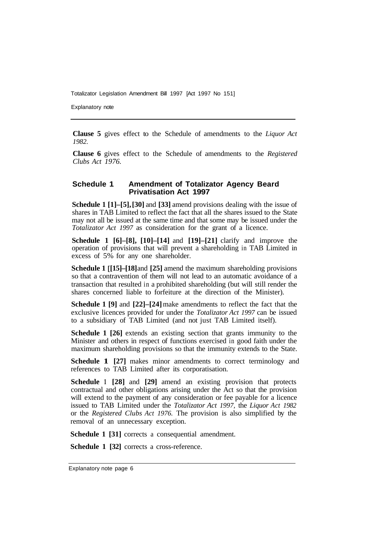Explanatory note

**Clause 5** gives effect to the Schedule of amendments to the *Liquor Act 1982.* 

**Clause 6** gives effect to the Schedule of amendments to the *Registered Clubs Act 1976.* 

#### **Schedule 1 Amendment of Totalizator Agency Beard Privatisation Act 1997**

**Schedule 1 [1]–[5], [30]** and **[33]** amend provisions dealing with the issue of shares in TAB Limited to reflect the fact that all the shares issued to the State may not all be issued at the same time and that some may be issued under the *Totalizator Act 1997* as consideration for the grant of a licence.

**Schedule 1 [6]–[8], [10]–[14]** and **[19]–[21]** clarify and improve the operation of provisions that will prevent a shareholding in TAB Limited in excess of 5% for any one shareholder.

**Schedule 1 [15]–[18] and [25] amend the maximum shareholding provisions** so that a contravention of them will not lead to an automatic avoidance of a transaction that resulted in a prohibited shareholding (but will still render the shares concerned liable to forfeiture at the direction of the Minister).

**Schedule 1 [9]** and **[22]–[24]** make amendments to reflect the fact that the exclusive licences provided for under the *Totalizator Act 1997* can be issued to a subsidiary of TAB Limited (and not just TAB Limited itself).

**Schedule 1 [26]** extends an existing section that grants immunity to the Minister and others in respect of functions exercised in good faith under the maximum shareholding provisions so that the immunity extends to the State.

**Schedule 1 [27]** makes minor amendments to correct terminology and references to TAB Limited after its corporatisation.

**Schedule 1 [28]** and **[29]** amend an existing provision that protects contractual and other obligations arising under the Act so that the provision will extend to the payment of any consideration or fee payable for a licence issued to TAB Limited under the *Totalizator Act 1997,* the *Liquor Act 1982*  or the *Registered Clubs Act 1976.* The provision is also simplified by the removal of an unnecessary exception.

**Schedule 1 [31]** corrects a consequential amendment.

**Schedule 1 [32]** corrects a cross-reference.

Explanatory note page 6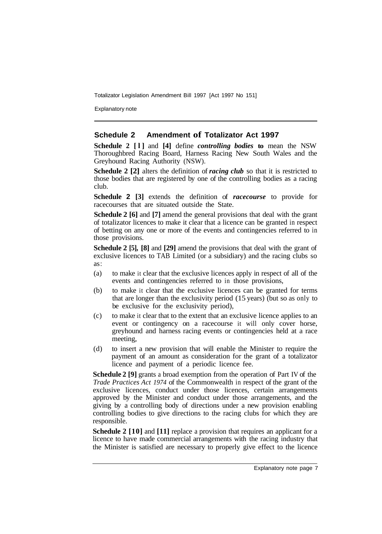Explanatory note

#### **Schedule 2 Amendment of Totalizator Act 1997**

**Schedule 2 [l]** and **[4]** define *controlling bodies* **to** mean the NSW Thoroughbred Racing Board, Harness Racing New South Wales and the Greyhound Racing Authority (NSW).

**Schedule 2 [2]** alters the definition of *racing club* so that it is restricted to those bodies that are registered by one of the controlling bodies as a racing club.

**Schedule 2 [3]** extends the definition of *racecourse* to provide for racecourses that are situated outside the State.

**Schedule 2 [6]** and **[7]** amend the general provisions that deal with the grant of totalizator licences to make it clear that a licence can be granted in respect of betting on any one or more of the events and contingencies referred to in those provisions.

**Schedule 2 [5], [8]** and **[29]** amend the provisions that deal with the grant of exclusive licences to TAB Limited (or a subsidiary) and the racing clubs so as :

- (a) to make it clear that the exclusive licences apply in respect of all of the events and contingencies referred to in those provisions,
- (b) to make it clear that the exclusive licences can be granted for terms that are longer than the exclusivity period (15 years) (but so as only to be exclusive for the exclusivity period),
- (c) to make it clear that to the extent that an exclusive licence applies to an event or contingency on a racecourse it will only cover horse, greyhound and harness racing events or contingencies held at a race meeting,
- (d) to insert a new provision that will enable the Minister to require the payment of an amount as consideration for the grant of a totalizator licence and payment of a periodic licence fee.

**Schedule 2 [9]** grants a broad exemption from the operation of Part IV of the *Trade Practices Act 1974* of the Commonwealth in respect of the grant of the exclusive licences, conduct under those licences, certain arrangements approved by the Minister and conduct under those arrangements, and the giving by a controlling body of directions under a new provision enabling controlling bodies to give directions to the racing clubs for which they are responsible.

**Schedule 2 [10]** and **[11]** replace a provision that requires an applicant for a licence to have made commercial arrangements with the racing industry that the Minister is satisfied are necessary to properly give effect to the licence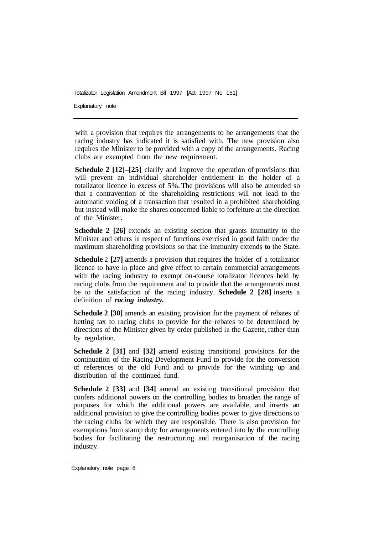Explanatory note

with a provision that requires the arrangements to be arrangements that the racing industry has indicated it is satisfied with. The new provision also requires the Minister to be provided with a copy of the arrangements. Racing clubs are exempted from the new requirement.

**Schedule 2 [12]–[25]** clarify and improve the operation of provisions that will prevent an individual shareholder entitlement in the holder of a totalizator licence in excess of 5%. The provisions will also be amended so that a contravention of the shareholding restrictions will not lead to the automatic voiding of a transaction that resulted in a prohibited shareholding but instead will make the shares concerned liable to forfeiture at the direction of the Minister.

**Schedule 2 [26]** extends an existing section that grants immunity to the Minister and others in respect of functions exercised in good faith under the maximum shareholding provisions so that the immunity extends **to** the State.

**Schedule** 2 **[27]** amends a provision that requires the holder of a totalizator licence to have in place and give effect to certain commercial arrangements with the racing industry to exempt on-course totalizator licences held by racing clubs from the requirement and to provide that the arrangements must be to the satisfaction of the racing industry. **Schedule 2 [28]** inserts a definition of *racing industry.* 

**Schedule 2 [30]** amends an existing provision for the payment of rebates of betting tax to racing clubs to provide for the rebates to be determined by directions of the Minister given by order published in the Gazette, rather than by regulation.

**Schedule 2 [31]** and **[32]** amend existing transitional provisions for the continuation of the Racing Development Fund to provide for the conversion of references to the old Fund and to provide for the winding up and distribution of the continued fund.

**Schedule 2 [33]** and **[34]** amend an existing transitional provision that confers additional powers on the controlling bodies to broaden the range of purposes for which the additional powers are available, and inserts an additional provision to give the controlling bodies power to give directions to the racing clubs for which they are responsible. There is also provision for exemptions from stamp duty for arrangements entered into by the controlling bodies for facilitating the restructuring and reorganisation of the racing industry.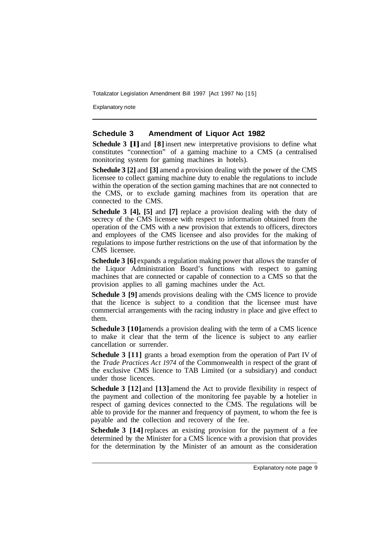Explanatory note

#### **Schedule 3 Amendment of Liquor Act 1982**

**Schedule 3 [l]**and **[8]** insert new interpretative provisions to define what constitutes "connection" of a gaming machine to a CMS (a centralised monitoring system for gaming machines in hotels).

**Schedule 3 [2]** and **[3]** amend a provision dealing with the power of the CMS licensee to collect gaming machine duty to enable the regulations to include within the operation of the section gaming machines that are not connected to the CMS, or to exclude gaming machines from its operation that are connected to the CMS.

**Schedule 3 [4], [5]** and **[7]** replace a provision dealing with the duty of secrecy of the CMS licensee with respect to information obtained from the operation of the CMS with a new provision that extends to officers, directors and employees of the CMS licensee and also provides for the making of regulations to impose further restrictions on the use of that information by the CMS licensee.

**Schedule 3 [6]** expands a regulation making power that allows the transfer of the Liquor Administration Board's functions with respect to gaming machines that are connected or capable of connection to a CMS so that the provision applies to all gaming machines under the Act.

**Schedule 3 [9]** amends provisions dealing with the CMS licence to provide that the licence is subject to a condition that the licensee must have commercial arrangements with the racing industry in place and give effect to them.

**Schedule 3 [10]** amends a provision dealing with the term of a CMS licence to make it clear that the term of the licence is subject to any earlier cancellation or surrender.

**Schedule 3 [11]** grants a broad exemption from the operation of Part IV of the *Trade Practices Act 1974* of the Commonwealth in respect of the grant of the exclusive CMS licence to TAB Limited (or a subsidiary) and conduct under those licences.

**Schedule 3 [12]** and **[13]** amend the Act to provide flexibility in respect of the payment and collection of the monitoring fee payable by **a** hotelier in respect of gaming devices connected to the CMS. The regulations will be able to provide for the manner and frequency of payment, to whom the fee is payable and the collection and recovery of the fee.

**Schedule 3 [14]** replaces an existing provision for the payment of a fee determined by the Minister for a CMS licence with a provision that provides for the determination by the Minister of an amount as the consideration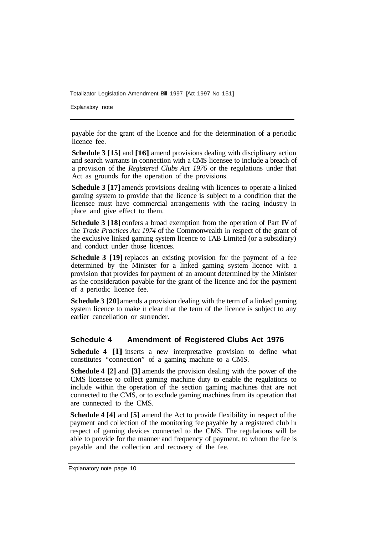Explanatory note

payable for the grant of the licence and for the determination of **a** periodic licence fee.

**Schedule 3 [15]** and **[16]** amend provisions dealing with disciplinary action and search warrants in connection with a CMS licensee to include a breach of a provision of the *Registered Clubs Act 1976* or the regulations under that Act as grounds for the operation of the provisions.

**Schedule 3 [17]** amends provisions dealing with licences to operate a linked gaming system to provide that the licence is subject to a condition that the licensee must have commercial arrangements with the racing industry in place and give effect to them.

**Schedule 3 [18]** confers a broad exemption from the operation of Part **IV** of the *Trade Practices Act 1974* of the Commonwealth in respect of the grant of the exclusive linked gaming system licence to TAB Limited (or a subsidiary) and conduct under those licences.

**Schedule 3 [19]** replaces an existing provision for the payment of a fee determined by the Minister for a linked gaming system licence with a provision that provides for payment of an amount determined by the Minister as the consideration payable for the grant of the licence and for the payment of a periodic licence fee.

**Schedule 3 [20]** amends a provision dealing with the term of a linked gaming system licence to make it clear that the term of the licence is subject to any earlier cancellation or surrender.

#### **Schedule 4 Amendment of Registered Clubs Act 1976**

**Schedule 4 [l]** inserts a new interpretative provision to define what constitutes "connection" of a gaming machine to a CMS.

**Schedule 4 [2]** and **[3]** amends the provision dealing with the power of the CMS licensee to collect gaming machine duty to enable the regulations to include within the operation of the section gaming machines that are not connected to the CMS, or to exclude gaming machines from its operation that are connected to the CMS.

**Schedule 4 [4]** and **[5]** amend the Act to provide flexibility in respect of the payment and collection of the monitoring fee payable by a registered club in respect of gaming devices connected to the CMS. The regulations will be able to provide for the manner and frequency of payment, to whom the fee is payable and the collection and recovery of the fee.